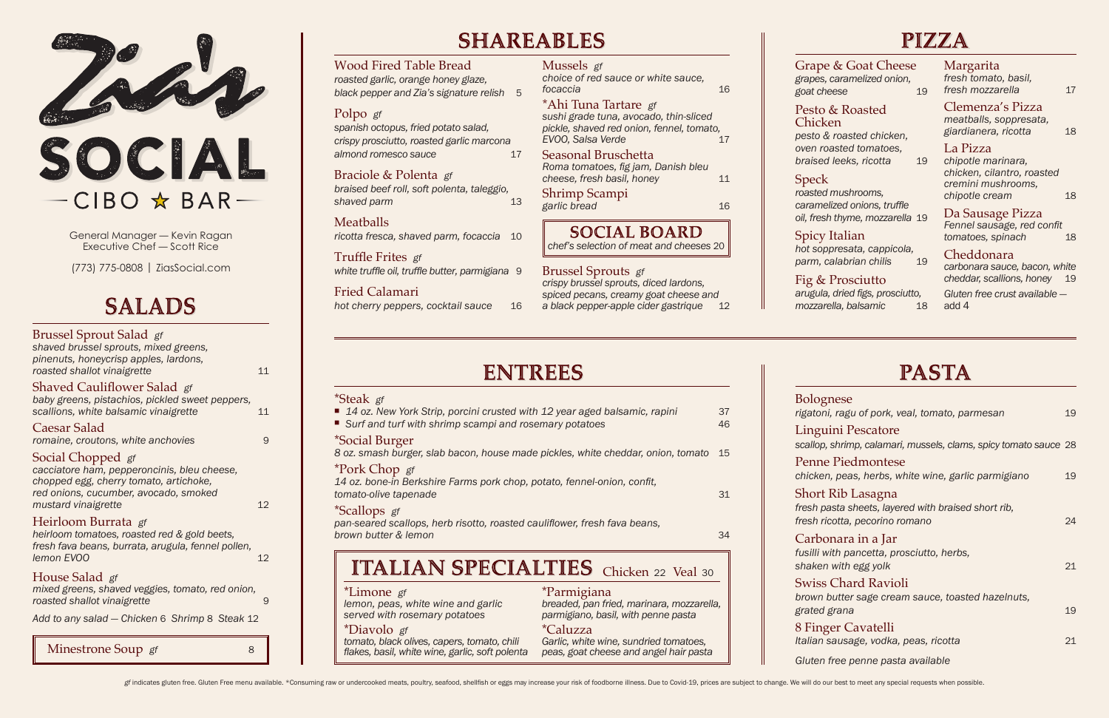*Fennel sausage, red confit tomatoes, spinach* 18

#### Grape & Goat Cheese

*grapes, caramelized onion, goat cheese* 19

#### Pesto & Roasted Chicken

*pesto & roasted chicken, oven roasted tomatoes, braised leeks, ricotta* 19

*roasted mushrooms, caramelized onions, truffle oil, fresh thyme, mozzarella* 19

### Spicy Italian

*hot soppresata, cappicola, parm, calabrian chilis* 19

#### Fig & Prosciutto

*arugula, dried figs, prosciutto, mozzarella, balsamic* 18

#### Margarita *fresh tomato, basil, fresh mozzarella* 17

Clemenza's Pizza *meatballs, soppresata, giardianera, ricotta* 18

#### La Pizza

*chipotle marinara, chicken, cilantro, roasted cremini mushrooms, chipotle cream* 18

## Da Sausage Pizza

## Cheddonara

*carbonara sauce, bacon, white cheddar, scallions, honey* 19

| <b>Bolognese</b><br>rigatoni, ragu of pork, veal, tomato, parmesan                                         | 19       |
|------------------------------------------------------------------------------------------------------------|----------|
| Linguini Pescatore<br>scallop, shrimp, calamari, mussels, clams, spicy tomato sauce 28                     |          |
| <b>Penne Piedmontese</b><br>chicken, peas, herbs, white wine, garlic parmigiano                            | 19       |
| Short Rib Lasagna<br>fresh pasta sheets, layered with braised short rib,<br>fresh ricotta, pecorino romano | 24       |
| Carbonara in a Jar<br>fusilli with pancetta, prosciutto, herbs,<br>shaken with egg yolk                    | 21       |
| <b>Swiss Chard Ravioli</b><br>brown butter sage cream sauce, toasted hazelnuts,                            |          |
| grated grana<br>8 Finger Cavatelli<br>Italian sausage, vodka, peas, ricotta                                | 19<br>21 |
| Gluten free penne pasta available                                                                          |          |

*Gluten free crust available*  add 4

# **PASTA**

| <b>Brussel Sprout Salad</b> gf<br>shaved brussel sprouts, mixed greens,<br>pinenuts, honeycrisp apples, lardons,<br>roasted shallot vinaigrette                            | 11 |
|----------------------------------------------------------------------------------------------------------------------------------------------------------------------------|----|
| Shaved Cauliflower Salad gf<br>baby greens, pistachios, pickled sweet peppers,<br>scallions, white balsamic vinaigrette                                                    | 11 |
| Caesar Salad<br>romaine, croutons, white anchovies                                                                                                                         | 9  |
| Social Chopped gf<br>cacciatore ham, pepperoncinis, bleu cheese,<br>chopped egg, cherry tomato, artichoke,<br>red onions, cucumber, avocado, smoked<br>mustard vinaigrette | 12 |
| Heirloom Burrata gf<br>heirloom tomatoes, roasted red & gold beets,<br>fresh fava beans, burrata, arugula, fennel pollen,<br>lemon EVOO                                    | 12 |
| House Salad gf<br>mixed greens, shaved veggies, tomato, red onion,<br>roasted shallot vinaigrette                                                                          | 9  |
| Add to any salad - Chicken 6 Shrimp 8 Steak 12                                                                                                                             |    |
| Minestrone Soup gf<br>8                                                                                                                                                    |    |

# **SHARFARIFS**

| <b>Wood Fired Table Bread</b><br>roasted garlic, orange honey glaze,<br>black pepper and Zia's signature relish<br>5 | Mussels gf<br>choice of red sauce or white sauce,<br>focaccia<br>16                                                              |
|----------------------------------------------------------------------------------------------------------------------|----------------------------------------------------------------------------------------------------------------------------------|
| Polpo gf<br>spanish octopus, fried potato salad,<br>crispy prosciutto, roasted garlic marcona                        | *Ahi Tuna Tartare gf<br>sushi grade tuna, avocado, thin-sliced<br>pickle, shaved red onion, fennel, tomato,<br>EVOO, Salsa Verde |
| almond romesco sauce<br>17<br>Braciole & Polenta gf                                                                  | Seasonal Bruschetta<br>Roma tomatoes, fig jam, Danish bleu<br>cheese, fresh basil, honey<br>11                                   |
| braised beef roll, soft polenta, taleggio,<br>shaved parm<br>13                                                      | Shrimp Scampi<br>garlic bread<br>16                                                                                              |
| <b>Meatballs</b><br>ricotta fresca, shaved parm, focaccia<br>10                                                      | <b>SOCIAL BOARD</b><br>chef's selection of meat and cheeses 20                                                                   |
| Truffle Frites gf<br>white truffle oil, truffle butter, parmigiana 9                                                 | <b>Brussel Sprouts</b> gf                                                                                                        |

Fried Calamari

*hot cherry peppers, cocktail sauce* 16

**Speck** 

# **ENTREES**

*crispy brussel sprouts, diced lardons, spiced pecans, creamy goat cheese and a black pepper-apple cider gastrique* 12



General Manager — Kevin Ragan Executive Chef — Scott Rice

(773) 775-0808 | ZiasSocial.com

# **SALADS**

| *Steak gf                                                                                         |    |
|---------------------------------------------------------------------------------------------------|----|
| ■ 14 oz. New York Strip, porcini crusted with 12 year aged balsamic, rapini                       | 37 |
| ■ Surf and turf with shrimp scampi and rosemary potatoes                                          | 46 |
| *Social Burger<br>0 az amaah hursar alah hasan, hayaa mada niqldaa whita ahaddar anjan tamata. 45 |    |

*8 oz. smash burger, slab bacon, house made pickles, white cheddar, onion, tomato* 15

#### \*Pork Chop *gf*

*14 oz. bone-in Berkshire Farms pork chop, potato, fennel-onion, confit, tomato-olive tapenade* 31

#### \*Scallops *gf*

*pan-seared scallops, herb risotto, roasted cauliflower, fresh fava beans, brown butter & lemon* 34

# **ITALIAN SPECIALTIES** Chicken 22 Veal 30

\*Limone *gf lemon, peas, white wine and garlic served with rosemary potatoes*

\*Diavolo *gf tomato, black olives, capers, tomato, chili flakes, basil, white wine, garlic, soft polenta*

\*Parmigiana *breaded, pan fried, marinara, mozzarella, parmigiano, basil, with penne pasta*

#### \*Caluzza

*Garlic, white wine, sundried tomatoes, peas, goat cheese and angel hair pasta*  $L$ ing Pen Shor Carl Swi 8 Fin

 $Glute$ 

## $PIZJA$